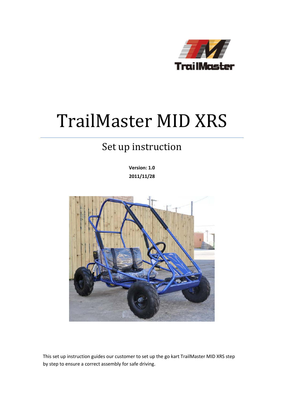

# TrailMaster MID XRS

## Set up instruction

**Version: 1.0 2011/11/28**



This set up instruction guides our customer to set up the go kart TrailMaster MID XRS step by step to ensure a correct assembly for safe driving.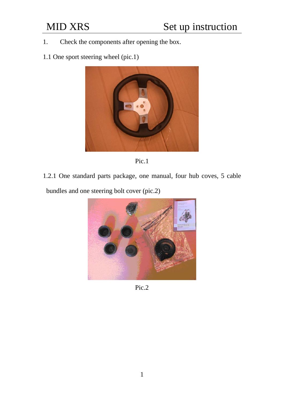- 1. Check the components after opening the box.
- 1.1 One sport steering wheel (pic.1)





1.2.1 One standard parts package, one manual, four hub coves, 5 cable bundles and one steering bolt cover (pic.2)



Pic.2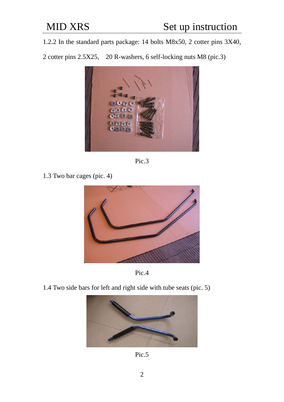1.2.2 In the standard parts package: 14 bolts M8x50, 2 cotter pins 3X40,

2 cotter pins 2.5X25, 20 R-washers, 6 self-locking nuts M8 (pic.3)



Pic.3

1.3 Two bar cages (pic. 4)





1.4 Two side bars for left and right side with tube seats (pic. 5)



Pic.5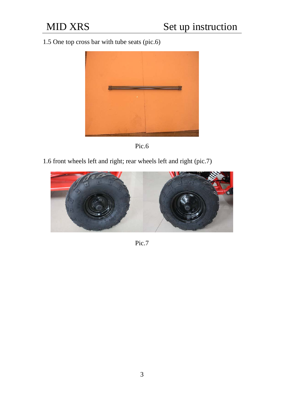1.5 One top cross bar with tube seats (pic.6)





1.6 front wheels left and right; rear wheels left and right (pic.7)



Pic.7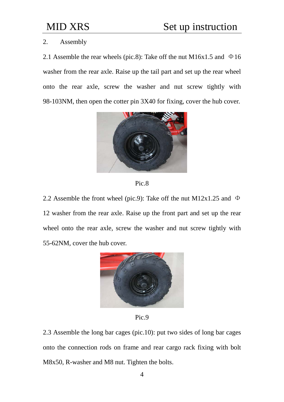### 2. Assembly

2.1 Assemble the rear wheels (pic.8): Take off the nut M16x1.5 and  $\Phi$ 16 washer from the rear axle. Raise up the tail part and set up the rear wheel onto the rear axle, screw the washer and nut screw tightly with 98-103NM, then open the cotter pin 3X40 for fixing, cover the hub cover.





2.2 Assemble the front wheel (pic.9): Take off the nut M12x1.25 and  $\Phi$ 12 washer from the rear axle. Raise up the front part and set up the rear wheel onto the rear axle, screw the washer and nut screw tightly with 55-62NM, cover the hub cover.



Pic.9

2.3 Assemble the long bar cages (pic.10): put two sides of long bar cages onto the connection rods on frame and rear cargo rack fixing with bolt M8x50, R-washer and M8 nut. Tighten the bolts.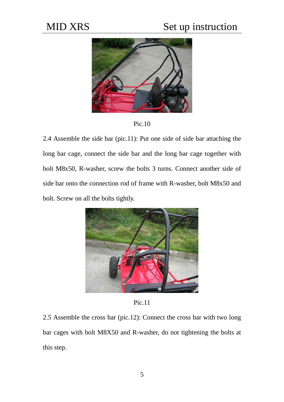### MID XRS Set up instruction



Pic.10

2.4 Assemble the side bar (pic.11): Put one side of side bar attaching the long bar cage, connect the side bar and the long bar cage together with bolt M8x50, R-washer, screw the bolts 3 turns. Connect another side of side bar onto the connection rod of frame with R-washer, bolt M8x50 and bolt. Screw on all the bolts tightly.



Pic.11

2.5 Assemble the cross bar (pic.12): Connect the cross bar with two long bar cages with bolt M8X50 and R-washer, do not tightening the bolts at this step.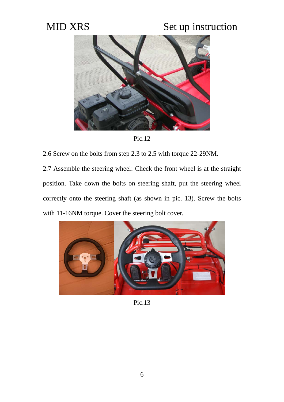## MID XRS Set up instruction



Pic.12

2.6 Screw on the bolts from step 2.3 to 2.5 with torque 22-29NM.

2.7 Assemble the steering wheel: Check the front wheel is at the straight position. Take down the bolts on steering shaft, put the steering wheel correctly onto the steering shaft (as shown in pic. 13). Screw the bolts with 11-16NM torque. Cover the steering bolt cover.



Pic.13